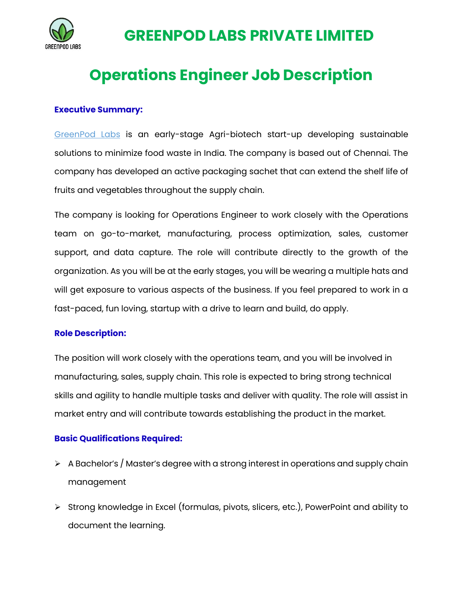

## **GREENPOD LABS PRIVATE LIMITED**

# **Operations Engineer Job Description**

## **Executive Summary:**

GreenPod Labs is an early-stage Agri-biotech start-up developing sustainable solutions to minimize food waste in India. The company is based out of Chennai. The company has developed an active packaging sachet that can extend the shelf life of fruits and vegetables throughout the supply chain.

The company is looking for Operations Engineer to work closely with the Operations team on go-to-market, manufacturing, process optimization, sales, customer support, and data capture. The role will contribute directly to the growth of the organization. As you will be at the early stages, you will be wearing a multiple hats and will get exposure to various aspects of the business. If you feel prepared to work in a fast-paced, fun loving, startup with a drive to learn and build, do apply.

### **Role Description:**

The position will work closely with the operations team, and you will be involved in manufacturing, sales, supply chain. This role is expected to bring strong technical skills and agility to handle multiple tasks and deliver with quality. The role will assist in market entry and will contribute towards establishing the product in the market.

## **Basic Qualifications Required:**

- $\triangleright$  A Bachelor's / Master's degree with a strong interest in operations and supply chain management
- $\triangleright$  Strong knowledge in Excel (formulas, pivots, slicers, etc.), PowerPoint and ability to document the learning.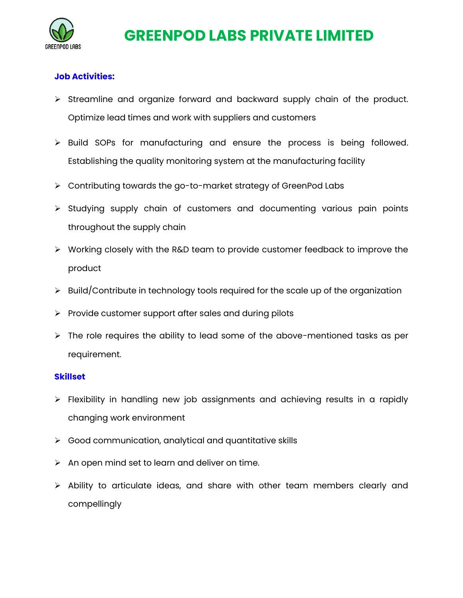

## **GREENPOD LABS PRIVATE LIMITED**

## **Job Activities:**

- $\triangleright$  Streamline and organize forward and backward supply chain of the product. Optimize lead times and work with suppliers and customers
- > Build SOPs for manufacturing and ensure the process is being followed. Establishing the quality monitoring system at the manufacturing facility
- Contributing towards the go-to-market strategy of GreenPod Labs
- $\triangleright$  Studying supply chain of customers and documenting various pain points throughout the supply chain
- $\triangleright$  Working closely with the R&D team to provide customer feedback to improve the product
- $\triangleright$  Build/Contribute in technology tools required for the scale up of the organization
- $\triangleright$  Provide customer support after sales and during pilots
- $\triangleright$  The role requires the ability to lead some of the above-mentioned tasks as per requirement.

#### **Skillset**

- $\triangleright$  Flexibility in handling new job assignments and achieving results in a rapidly changing work environment
- $\triangleright$  Good communication, analytical and quantitative skills
- $\triangleright$  An open mind set to learn and deliver on time.
- $\triangleright$  Ability to articulate ideas, and share with other team members clearly and compellingly